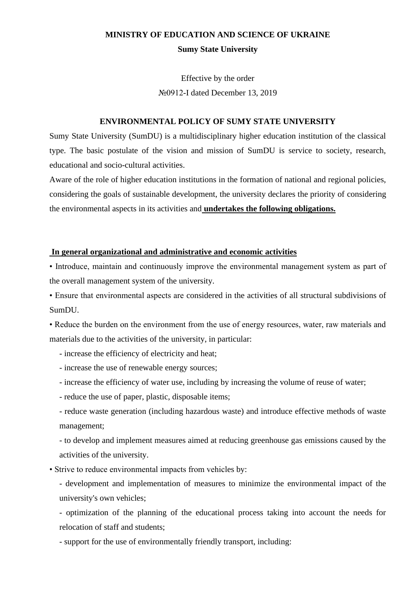# **MINISTRY OF EDUCATION AND SCIENCE OF UKRAINE Sumy State University**

Effective by the order №0912-I dated December 13, 2019

# **ENVIRONMENTAL POLICY OF SUMY STATE UNIVERSITY**

Sumy State University (SumDU) is a multidisciplinary higher education institution of the classical type. The basic postulate of the vision and mission of SumDU is service to society, research, educational and socio-cultural activities.

Aware of the role of higher education institutions in the formation of national and regional policies, considering the goals of sustainable development, the university declares the priority of considering the environmental aspects in its activities and **undertakes the following obligations.**

#### **In general organizational and administrative and economic activities**

• Introduce, maintain and continuously improve the environmental management system as part of the overall management system of the university.

• Ensure that environmental aspects are considered in the activities of all structural subdivisions of SumDU.

• Reduce the burden on the environment from the use of energy resources, water, raw materials and materials due to the activities of the university, in particular:

- increase the efficiency of electricity and heat;

- increase the use of renewable energy sources;
- increase the efficiency of water use, including by increasing the volume of reuse of water;
- reduce the use of paper, plastic, disposable items;
- reduce waste generation (including hazardous waste) and introduce effective methods of waste management;

- to develop and implement measures aimed at reducing greenhouse gas emissions caused by the activities of the university.

- Strive to reduce environmental impacts from vehicles by:
	- development and implementation of measures to minimize the environmental impact of the university's own vehicles;

- optimization of the planning of the educational process taking into account the needs for relocation of staff and students;

- support for the use of environmentally friendly transport, including: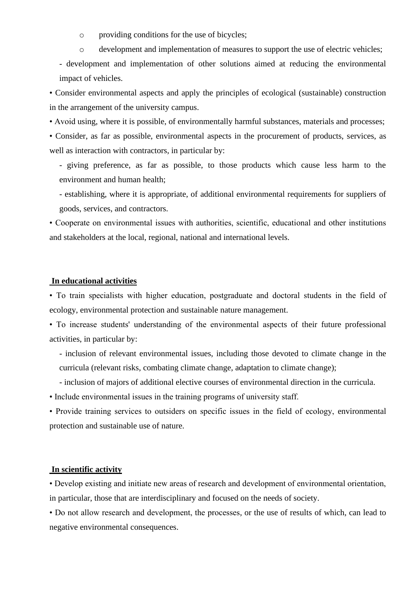o providing conditions for the use of bicycles;

o development and implementation of measures to support the use of electric vehicles;

- development and implementation of other solutions aimed at reducing the environmental impact of vehicles.

• Consider environmental aspects and apply the principles of ecological (sustainable) construction in the arrangement of the university campus.

• Avoid using, where it is possible, of environmentally harmful substances, materials and processes;

• Consider, as far as possible, environmental aspects in the procurement of products, services, as well as interaction with contractors, in particular by:

- giving preference, as far as possible, to those products which cause less harm to the environment and human health;

- establishing, where it is appropriate, of additional environmental requirements for suppliers of goods, services, and contractors.

• Cooperate on environmental issues with authorities, scientific, educational and other institutions and stakeholders at the local, regional, national and international levels.

### **In educational activities**

• To train specialists with higher education, postgraduate and doctoral students in the field of ecology, environmental protection and sustainable nature management.

• To increase students' understanding of the environmental aspects of their future professional activities, in particular by:

- inclusion of relevant environmental issues, including those devoted to climate change in the curricula (relevant risks, combating climate change, adaptation to climate change);

- inclusion of majors of additional elective courses of environmental direction in the curricula.

• Include environmental issues in the training programs of university staff.

• Provide training services to outsiders on specific issues in the field of ecology, environmental protection and sustainable use of nature.

# **In scientific activity**

• Develop existing and initiate new areas of research and development of environmental orientation, in particular, those that are interdisciplinary and focused on the needs of society.

• Do not allow research and development, the processes, or the use of results of which, can lead to negative environmental consequences.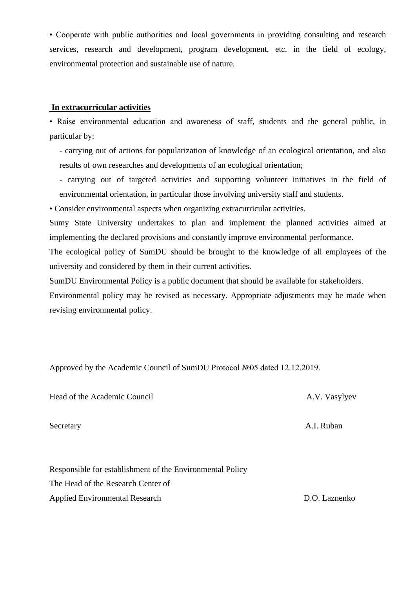• Cooperate with public authorities and local governments in providing consulting and research services, research and development, program development, etc. in the field of ecology, environmental protection and sustainable use of nature.

# **In extracurricular activities**

• Raise environmental education and awareness of staff, students and the general public, in particular by:

- carrying out of actions for popularization of knowledge of an ecological orientation, and also results of own researches and developments of an ecological orientation;

- carrying out of targeted activities and supporting volunteer initiatives in the field of environmental orientation, in particular those involving university staff and students.
- Consider environmental aspects when organizing extracurricular activities.

Sumy State University undertakes to plan and implement the planned activities aimed at implementing the declared provisions and constantly improve environmental performance.

The ecological policy of SumDU should be brought to the knowledge of all employees of the university and considered by them in their current activities.

SumDU Environmental Policy is a public document that should be available for stakeholders.

Environmental policy may be revised as necessary. Appropriate adjustments may be made when revising environmental policy.

Approved by the Academic Council of SumDU Protocol №05 dated 12.12.2019.

Head of the Academic Council **A.V. Vasylyev** A.V. Vasylyev

Secretary **A.I.** Ruban

Responsible for establishment of the Environmental Policy The Head of the Research Center of Applied Environmental Research D.O. Laznenko